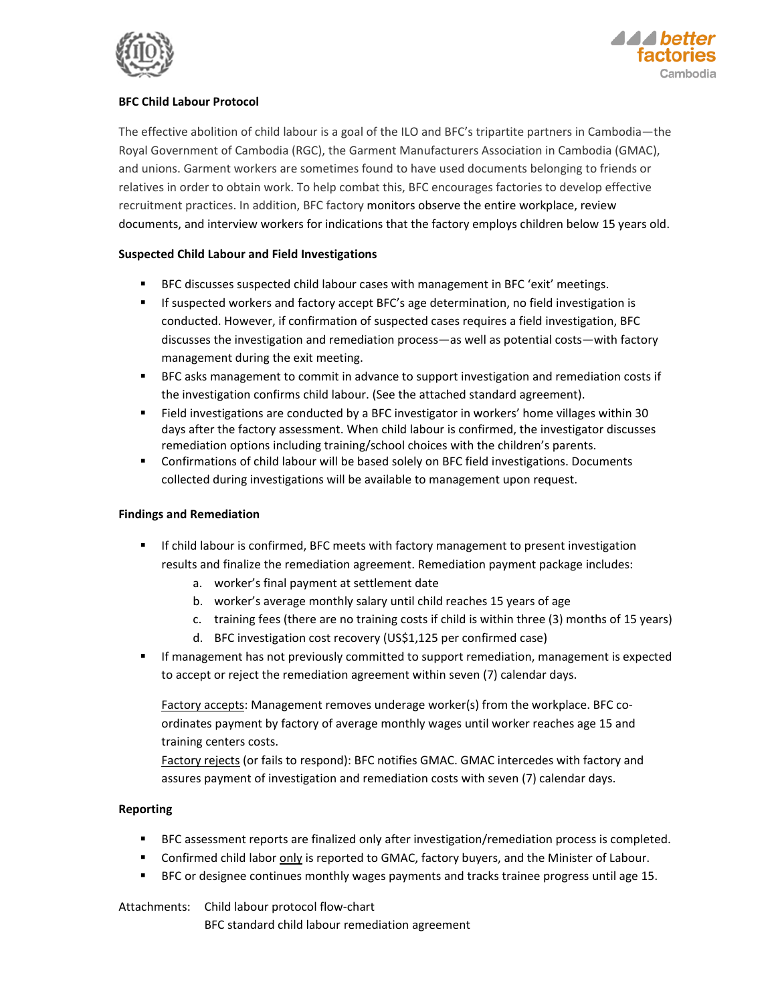



## **BEC Child Labour Protocol**

The effective abolition of child labour is a goal of the ILO and BFC's tripartite partners in Cambodia-the Royal Government of Cambodia (RGC), the Garment Manufacturers Association in Cambodia (GMAC), and unions. Garment workers are sometimes found to have used documents belonging to friends or relatives in order to obtain work. To help combat this, BFC encourages factories to develop effective recruitment practices. In addition, BFC factory monitors observe the entire workplace, review documents, and interview workers for indications that the factory employs children below 15 years old.

### **Suspected Child Labour and Field Investigations**

- BFC discusses suspected child labour cases with management in BFC 'exit' meetings.
- $\mathbf{r}$  . If suspected workers and factory accept BFC's age determination, no field investigation is conducted. However, if confirmation of suspected cases requires a field investigation, BFC discusses the investigation and remediation process-as well as potential costs-with factory management during the exit meeting.
- $\blacksquare$ BFC asks management to commit in advance to support investigation and remediation costs if the investigation confirms child labour. (See the attached standard agreement).
- $\mathbf{u}$  . Field investigations are conducted by a BFC investigator in workers' home villages within 30 days after the factory assessment. When child labour is confirmed, the investigator discusses remediation options including training/school choices with the children's parents.
- $\mathbf{R}^{(1)}$  . Confirmations of child labour will be based solely on BFC field investigations. Documents collected during investigations will be available to management upon request.

#### **Findings and Remediation**

- If child labour is confirmed, BFC meets with factory management to present investigation results and finalize the remediation agreement. Remediation payment package includes:
	- a. worker's final payment at settlement date
	- b. worker's average monthly salary until child reaches 15 years of age
	- c. training fees (there are no training costs if child is within three (3) months of 15 years)
	- d. BFC investigation cost recovery (US\$1,125 per confirmed case)
- $\mathbf{E}^{\text{max}}$ If management has not previously committed to support remediation, management is expected to accept or reject the remediation agreement within seven (7) calendar days.

Factory accepts: Management removes underage worker(s) from the workplace. BFC coordinates payment by factory of average monthly wages until worker reaches age 15 and training centers costs.

Factory rejects (or fails to respond): BFC notifies GMAC. GMAC intercedes with factory and assures payment of investigation and remediation costs with seven (7) calendar days.

#### **Reporting**

- BFC assessment reports are finalized only after investigation/remediation process is completed.
- "Confirmed child labor only is reported to GMAC, factory buyers, and the Minister of Labour.
- $\blacksquare$ BFC or designee continues monthly wages payments and tracks trainee progress until age 15.

Attachments: Child labour protocol flow-chart BFC standard child labour remediation agreement